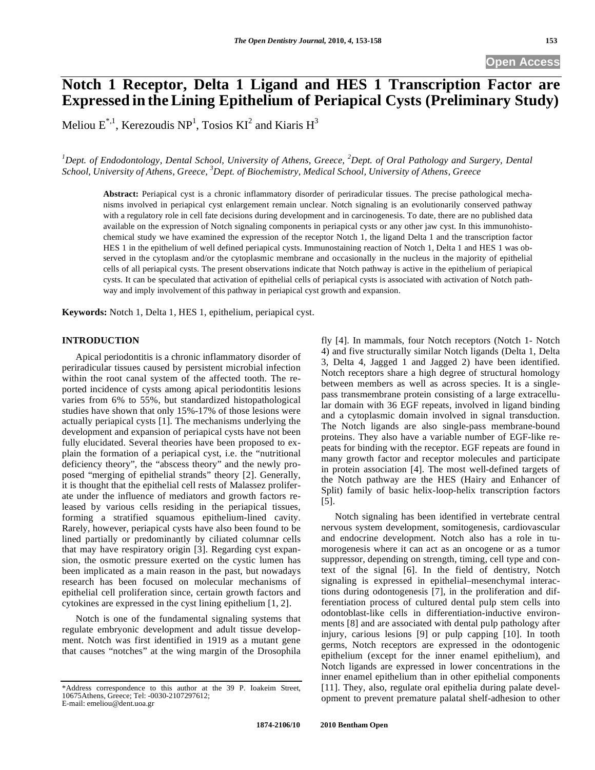# **Notch 1 Receptor, Delta 1 Ligand and HES 1 Transcription Factor are Expressed in theLining Epithelium of Periapical Cysts (Preliminary Study)**

Meliou  $E^{*,1}$ , Kerezoudis NP<sup>1</sup>, Tosios KI<sup>2</sup> and Kiaris H<sup>3</sup>

<sup>1</sup>Dept. of Endodontology, Dental School, University of Athens, Greece, <sup>2</sup>Dept. of Oral Pathology and Surgery, Dental *School, University of Athens, Greece, 3 Dept. of Biochemistry, Medical School, University of Athens, Greece* 

**Abstract:** Periapical cyst is a chronic inflammatory disorder of periradicular tissues. The precise pathological mechanisms involved in periapical cyst enlargement remain unclear. Notch signaling is an evolutionarily conserved pathway with a regulatory role in cell fate decisions during development and in carcinogenesis. To date, there are no published data available on the expression of Notch signaling components in periapical cysts or any other jaw cyst. In this immunohistochemical study we have examined the expression of the receptor Notch 1, the ligand Delta 1 and the transcription factor HES 1 in the epithelium of well defined periapical cysts. Immunostaining reaction of Notch 1, Delta 1 and HES 1 was observed in the cytoplasm and/or the cytoplasmic membrane and occasionally in the nucleus in the majority of epithelial cells of all periapical cysts. The present observations indicate that Notch pathway is active in the epithelium of periapical cysts. It can be speculated that activation of epithelial cells of periapical cysts is associated with activation of Notch pathway and imply involvement of this pathway in periapical cyst growth and expansion.

**Keywords:** Notch 1, Delta 1, HES 1, epithelium, periapical cyst.

# **INTRODUCTION**

Apical periodontitis is a chronic inflammatory disorder of periradicular tissues caused by persistent microbial infection within the root canal system of the affected tooth. The reported incidence of cysts among apical periodontitis lesions varies from 6% to 55%, but standardized histopathological studies have shown that only 15%-17% of those lesions were actually periapical cysts [1]. The mechanisms underlying the development and expansion of periapical cysts have not been fully elucidated. Several theories have been proposed to explain the formation of a periapical cyst, i.e. the "nutritional deficiency theory", the "abscess theory" and the newly proposed "merging of epithelial strands" theory [2]. Generally, it is thought that the epithelial cell rests of Malassez proliferate under the influence of mediators and growth factors released by various cells residing in the periapical tissues, forming a stratified squamous epithelium-lined cavity. Rarely, however, periapical cysts have also been found to be lined partially or predominantly by ciliated columnar cells that may have respiratory origin [3]. Regarding cyst expansion, the osmotic pressure exerted on the cystic lumen has been implicated as a main reason in the past, but nowadays research has been focused on molecular mechanisms of epithelial cell proliferation since, certain growth factors and cytokines are expressed in the cyst lining epithelium [1, 2].

Notch is one of the fundamental signaling systems that regulate embryonic development and adult tissue development. Notch was first identified in 1919 as a mutant gene that causes "notches" at the wing margin of the Drosophila fly [4]. In mammals, four Notch receptors (Notch 1- Notch 4) and five structurally similar Notch ligands (Delta 1, Delta 3, Delta 4, Jagged 1 and Jagged 2) have been identified. Notch receptors share a high degree of structural homology between members as well as across species. It is a singlepass transmembrane protein consisting of a large extracellular domain with 36 EGF repeats, involved in ligand binding and a cytoplasmic domain involved in signal transduction. The Notch ligands are also single-pass membrane-bound proteins. They also have a variable number of EGF-like repeats for binding with the receptor. EGF repeats are found in many growth factor and receptor molecules and participate in protein association [4]. The most well-defined targets of the Notch pathway are the HES (Hairy and Enhancer of Split) family of basic helix-loop-helix transcription factors [5].

Notch signaling has been identified in vertebrate central nervous system development, somitogenesis, cardiovascular and endocrine development. Notch also has a role in tumorogenesis where it can act as an oncogene or as a tumor suppressor, depending on strength, timing, cell type and context of the signal [6]. In the field of dentistry, Notch signaling is expressed in epithelial–mesenchymal interactions during odontogenesis [7], in the proliferation and differentiation process of cultured dental pulp stem cells into odontoblast-like cells in differentiation-inductive environments [8] and are associated with dental pulp pathology after injury, carious lesions [9] or pulp capping [10]. In tooth germs, Notch receptors are expressed in the odontogenic epithelium (except for the inner enamel epithelium), and Notch ligands are expressed in lower concentrations in the inner enamel epithelium than in other epithelial components [11]. They, also, regulate oral epithelia during palate development to prevent premature palatal shelf-adhesion to other

<sup>\*</sup>Address correspondence to this author at the 39 P. Ioakeim Street, 10675Athens, Greece; Tel: -0030-2107297612; E-mail: emeliou@dent.uoa.gr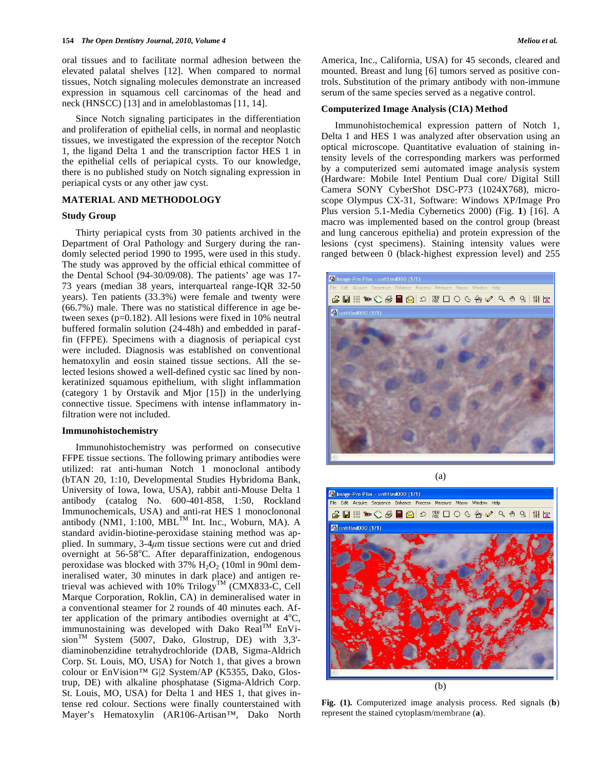oral tissues and to facilitate normal adhesion between the elevated palatal shelves [12]. When compared to normal tissues, Notch signaling molecules demonstrate an increased expression in squamous cell carcinomas of the head and neck (HNSCC) [13] and in ameloblastomas [11, 14].

Since Notch signaling participates in the differentiation and proliferation of epithelial cells, in normal and neoplastic tissues, we investigated the expression of the receptor Notch 1, the ligand Delta 1 and the transcription factor HES 1 in the epithelial cells of periapical cysts. To our knowledge, there is no published study on Notch signaling expression in periapical cysts or any other jaw cyst.

#### **MATERIAL AND METHODOLOGY**

#### **Study Group**

Thirty periapical cysts from 30 patients archived in the Department of Oral Pathology and Surgery during the randomly selected period 1990 to 1995, were used in this study. The study was approved by the official ethical committee of the Dental School (94-30/09/08). The patients' age was 17- 73 years (median 38 years, interquarteal range-IQR 32-50 years). Ten patients (33.3%) were female and twenty were (66.7%) male. There was no statistical difference in age between sexes (p=0.182). All lesions were fixed in 10% neutral buffered formalin solution (24-48h) and embedded in paraffin (FFPE). Specimens with a diagnosis of periapical cyst were included. Diagnosis was established on conventional hematoxylin and eosin stained tissue sections. All the selected lesions showed a well-defined cystic sac lined by nonkeratinized squamous epithelium, with slight inflammation (category 1 by Orstavik and Mjor [15]) in the underlying connective tissue. Specimens with intense inflammatory infiltration were not included.

## **Immunohistochemistry**

Immunohistochemistry was performed on consecutive FFPE tissue sections. The following primary antibodies were utilized: rat anti-human Notch 1 monoclonal antibody (bTAN 20, 1:10, Developmental Studies Hybridoma Bank, University of Iowa, Iowa, USA), rabbit anti-Mouse Delta 1 antibody (catalog No. 600-401-858, 1:50, Rockland Immunochemicals, USA) and anti-rat HES 1 monoclononal antibody (NM1, 1:100, MBL<sup>TM</sup> Int. Inc., Woburn, MA). A standard avidin-biotine-peroxidase staining method was applied. In summary, 3-4*μ*m tissue sections were cut and dried overnight at 56-58°C. After deparaffinization, endogenous peroxidase was blocked with  $37\%$  H<sub>2</sub>O<sub>2</sub> (10ml in 90ml demineralised water, 30 minutes in dark place) and antigen retrieval was achieved with 10%  $Trilogy<sup>TM</sup> (CMX833-C, Cell)$ Marque Corporation, Roklin, CA) in demineralised water in a conventional steamer for 2 rounds of 40 minutes each. After application of the primary antibodies overnight at  $4^{\circ}C$ , immunostaining was developed with Dako Real<sup>TM</sup> EnVision<sup>TM</sup> System (5007, Dako, Glostrup, DE) with  $3,3'$ diaminobenzidine tetrahydrochloride (DAB, Sigma-Aldrich Corp. St. Louis, MO, USA) for Notch 1, that gives a brown colour or EnVision™ G|2 System/AP (K5355, Dako, Glostrup, DE) with alkaline phosphatase (Sigma-Aldrich Corp. St. Louis, MO, USA) for Delta 1 and HES 1, that gives intense red colour. Sections were finally counterstained with Mayer's Hematoxylin (AR106-Artisan™, Dako North

America, Inc., California, USA) for 45 seconds, cleared and mounted. Breast and lung [6] tumors served as positive controls. Substitution of the primary antibody with non-immune serum of the same species served as a negative control.

#### **Computerized Image Analysis (CIA) Method**

Immunohistochemical expression pattern of Notch 1, Delta 1 and HES 1 was analyzed after observation using an optical microscope. Quantitative evaluation of staining intensity levels of the corresponding markers was performed by a computerized semi automated image analysis system (Hardware: Mobile Intel Pentium Dual core/ Digital Still Camera SONY CyberShot DSC-P73 (1024X768), microscope Olympus CX-31, Software: Windows XP/Image Pro Plus version 5.1-Media Cybernetics 2000) (Fig. **1**) [16]. A macro was implemented based on the control group (breast and lung cancerous epithelia) and protein expression of the lesions (cyst specimens). Staining intensity values were ranged between 0 (black-highest expression level) and 255





**Fig. (1).** Computerized image analysis process. Red signals (**b**) represent the stained cytoplasm/membrane (**a**).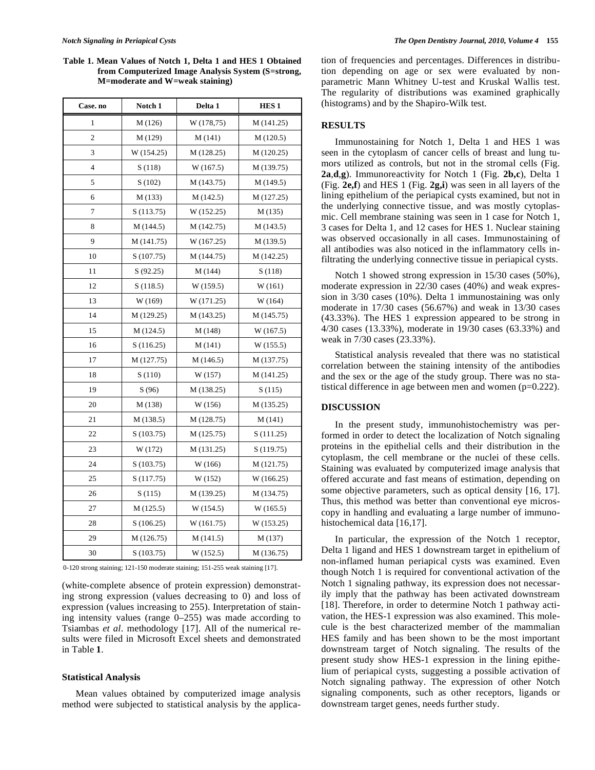**Table 1. Mean Values of Notch 1, Delta 1 and HES 1 Obtained from Computerized Image Analysis System (S=strong, M=moderate and W=weak staining)** 

| Case. no       | Notch 1    | Delta 1    | HES <sub>1</sub> |
|----------------|------------|------------|------------------|
| 1              | M(126)     | W (178,75) | M (141.25)       |
| $\overline{c}$ | M (129)    | M(141)     | M(120.5)         |
| 3              | W (154.25) | M (128.25) | M (120.25)       |
| $\overline{4}$ | S(118)     | W(167.5)   | M (139.75)       |
| 5              | S(102)     | M (143.75) | M (149.5)        |
| 6              | M(133)     | M(142.5)   | M (127.25)       |
| 7              | S(113.75)  | W (152.25) | M(135)           |
| 8              | M (144.5)  | M (142.75) | M (143.5)        |
| 9              | M (141.75) | W (167.25) | M (139.5)        |
| 10             | S(107.75)  | M (144.75) | M (142.25)       |
| 11             | S(92.25)   | M (144)    | S(118)           |
| 12             | S(118.5)   | W(159.5)   | W(161)           |
| 13             | W (169)    | W (171.25) | W (164)          |
| 14             | M (129.25) | M (143.25) | M (145.75)       |
| 15             | M (124.5)  | M (148)    | W(167.5)         |
| 16             | S(116.25)  | M(141)     | W(155.5)         |
| 17             | M (127.75) | M(146.5)   | M (137.75)       |
| 18             | S(110)     | W (157)    | M (141.25)       |
| 19             | S(96)      | M (138.25) | S(115)           |
| 20             | M (138)    | W (156)    | M (135.25)       |
| 21             | M (138.5)  | M (128.75) | M(141)           |
| 22             | S(103.75)  | M (125.75) | S(111.25)        |
| 23             | W (172)    | M (131.25) | S(119.75)        |
| 24             | S(103.75)  | W (166)    | M(121.75)        |
| 25             | S(117.75)  | W (152)    | W (166.25)       |
| 26             | S(115)     | M (139.25) | M (134.75)       |
| 27             | M(125.5)   | W(154.5)   | W(165.5)         |
| 28             | S(106.25)  | W (161.75) | W (153.25)       |
| 29             | M (126.75) | M(141.5)   | M (137)          |
| 30             | S(103.75)  | W(152.5)   | M (136.75)       |

0-120 strong staining; 121-150 moderate staining; 151-255 weak staining [17].

(white-complete absence of protein expression) demonstrating strong expression (values decreasing to 0) and loss of expression (values increasing to 255). Interpretation of staining intensity values (range 0–255) was made according to Tsiambas *et al*. methodology [17]. All of the numerical results were filed in Microsoft Excel sheets and demonstrated in Table **1**.

#### **Statistical Analysis**

Mean values obtained by computerized image analysis method were subjected to statistical analysis by the application of frequencies and percentages. Differences in distribution depending on age or sex were evaluated by nonparametric Mann Whitney U-test and Kruskal Wallis test. The regularity of distributions was examined graphically (histograms) and by the Shapiro-Wilk test.

# **RESULTS**

Immunostaining for Notch 1, Delta 1 and HES 1 was seen in the cytoplasm of cancer cells of breast and lung tumors utilized as controls, but not in the stromal cells (Fig. **2a**,**d**,**g**). Immunoreactivity for Notch 1 (Fig. **2b,c**), Delta 1 (Fig. **2e,f**) and HES 1 (Fig. **2g,i**) was seen in all layers of the lining epithelium of the periapical cysts examined, but not in the underlying connective tissue, and was mostly cytoplasmic. Cell membrane staining was seen in 1 case for Notch 1, 3 cases for Delta 1, and 12 cases for HES 1. Nuclear staining was observed occasionally in all cases. Immunostaining of all antibodies was also noticed in the inflammatory cells infiltrating the underlying connective tissue in periapical cysts.

Notch 1 showed strong expression in 15/30 cases (50%), moderate expression in 22/30 cases (40%) and weak expression in 3/30 cases (10%). Delta 1 immunostaining was only moderate in 17/30 cases (56.67%) and weak in 13/30 cases (43.33%). The HES 1 expression appeared to be strong in 4/30 cases (13.33%), moderate in 19/30 cases (63.33%) and weak in 7/30 cases (23.33%).

Statistical analysis revealed that there was no statistical correlation between the staining intensity of the antibodies and the sex or the age of the study group. There was no statistical difference in age between men and women (p=0.222).

# **DISCUSSION**

In the present study, immunohistochemistry was performed in order to detect the localization of Notch signaling proteins in the epithelial cells and their distribution in the cytoplasm, the cell membrane or the nuclei of these cells. Staining was evaluated by computerized image analysis that offered accurate and fast means of estimation, depending on some objective parameters, such as optical density [16, 17]. Thus, this method was better than conventional eye microscopy in handling and evaluating a large number of immunohistochemical data [16,17].

In particular, the expression of the Notch 1 receptor, Delta 1 ligand and HES 1 downstream target in epithelium of non-inflamed human periapical cysts was examined. Even though Notch 1 is required for conventional activation of the Notch 1 signaling pathway, its expression does not necessarily imply that the pathway has been activated downstream [18]. Therefore, in order to determine Notch 1 pathway activation, the HES-1 expression was also examined. This molecule is the best characterized member of the mammalian HES family and has been shown to be the most important downstream target of Notch signaling. The results of the present study show HES-1 expression in the lining epithelium of periapical cysts, suggesting a possible activation of Notch signaling pathway. The expression of other Notch signaling components, such as other receptors, ligands or downstream target genes, needs further study.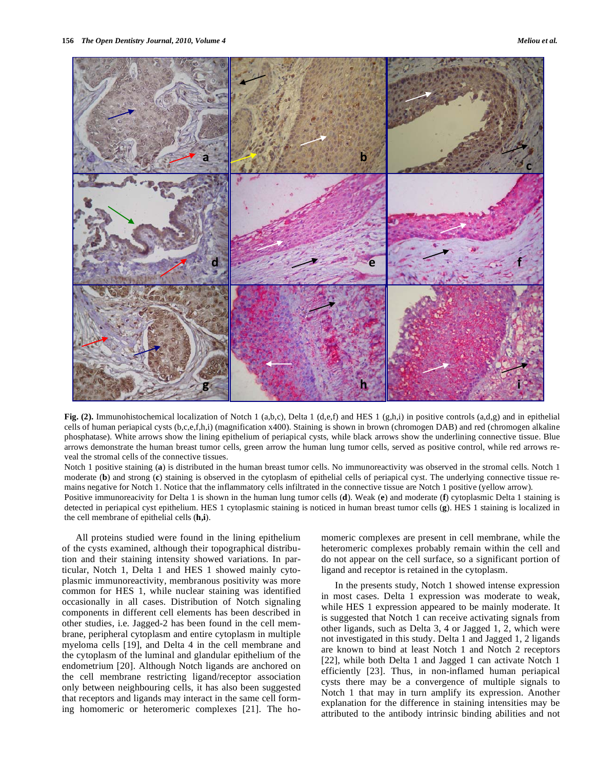

**Fig. (2).** Immunohistochemical localization of Notch 1 (a,b,c), Delta 1 (d,e,f) and HES 1 (g,h,i) in positive controls (a,d,g) and in epithelial cells of human periapical cysts (b,c,e,f,h,i) (magnification x400). Staining is shown in brown (chromogen DAB) and red (chromogen alkaline phosphatase). White arrows show the lining epithelium of periapical cysts, while black arrows show the underlining connective tissue. Blue arrows demonstrate the human breast tumor cells, green arrow the human lung tumor cells, served as positive control, while red arrows reveal the stromal cells of the connective tissues.

Notch 1 positive staining (**a**) is distributed in the human breast tumor cells. No immunoreactivity was observed in the stromal cells. Notch 1 moderate (**b**) and strong (**c**) staining is observed in the cytoplasm of epithelial cells of periapical cyst. The underlying connective tissue remains negative for Notch 1. Notice that the inflammatory cells infiltrated in the connective tissue are Notch 1 positive (yellow arrow).

Positive immunoreacivity for Delta 1 is shown in the human lung tumor cells (**d**). Weak (**e**) and moderate (**f**) cytoplasmic Delta 1 staining is detected in periapical cyst epithelium. HES 1 cytoplasmic staining is noticed in human breast tumor cells (**g**). HES 1 staining is localized in the cell membrane of epithelial cells (**h,i**).

All proteins studied were found in the lining epithelium of the cysts examined, although their topographical distribution and their staining intensity showed variations. In particular, Notch 1, Delta 1 and HES 1 showed mainly cytoplasmic immunoreactivity, membranous positivity was more common for HES 1, while nuclear staining was identified occasionally in all cases. Distribution of Notch signaling components in different cell elements has been described in other studies, i.e. Jagged-2 has been found in the cell membrane, peripheral cytoplasm and entire cytoplasm in multiple myeloma cells [19], and Delta 4 in the cell membrane and the cytoplasm of the luminal and glandular epithelium of the endometrium [20]. Although Notch ligands are anchored on the cell membrane restricting ligand/receptor association only between neighbouring cells, it has also been suggested that receptors and ligands may interact in the same cell forming homomeric or heteromeric complexes [21]. The homomeric complexes are present in cell membrane, while the heteromeric complexes probably remain within the cell and do not appear on the cell surface, so a significant portion of ligand and receptor is retained in the cytoplasm.

In the presents study, Notch 1 showed intense expression in most cases. Delta 1 expression was moderate to weak, while HES 1 expression appeared to be mainly moderate. It is suggested that Notch 1 can receive activating signals from other ligands, such as Delta 3, 4 or Jagged 1, 2, which were not investigated in this study. Delta 1 and Jagged 1, 2 ligands are known to bind at least Notch 1 and Notch 2 receptors [22], while both Delta 1 and Jagged 1 can activate Notch 1 efficiently [23]. Thus, in non-inflamed human periapical cysts there may be a convergence of multiple signals to Notch 1 that may in turn amplify its expression. Another explanation for the difference in staining intensities may be attributed to the antibody intrinsic binding abilities and not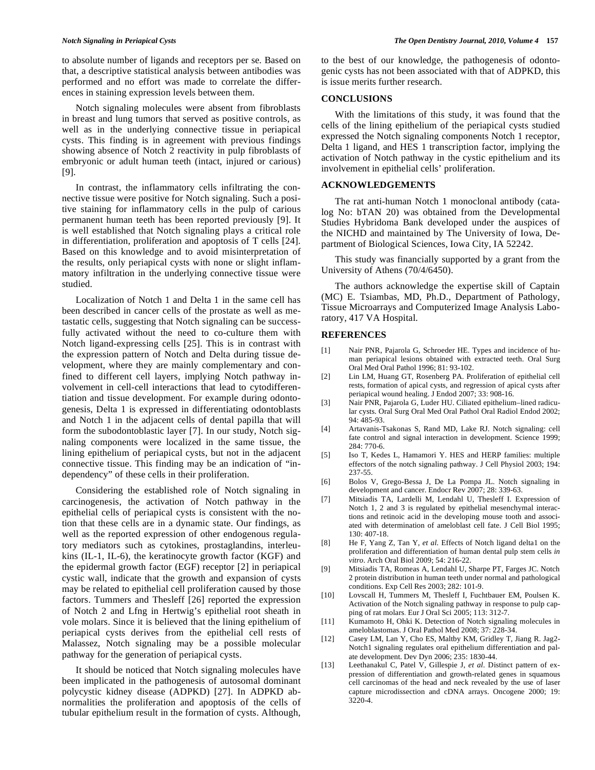to absolute number of ligands and receptors per se. Based on that, a descriptive statistical analysis between antibodies was performed and no effort was made to correlate the differences in staining expression levels between them.

Notch signaling molecules were absent from fibroblasts in breast and lung tumors that served as positive controls, as well as in the underlying connective tissue in periapical cysts. This finding is in agreement with previous findings showing absence of Notch 2 reactivity in pulp fibroblasts of embryonic or adult human teeth (intact, injured or carious) [9].

In contrast, the inflammatory cells infiltrating the connective tissue were positive for Notch signaling. Such a positive staining for inflammatory cells in the pulp of carious permanent human teeth has been reported previously [9]. It is well established that Notch signaling plays a critical role in differentiation, proliferation and apoptosis of T cells [24]. Based on this knowledge and to avoid misinterpretation of the results, only periapical cysts with none or slight inflammatory infiltration in the underlying connective tissue were studied.

Localization of Notch 1 and Delta 1 in the same cell has been described in cancer cells of the prostate as well as metastatic cells, suggesting that Notch signaling can be successfully activated without the need to co-culture them with Notch ligand-expressing cells [25]. This is in contrast with the expression pattern of Notch and Delta during tissue development, where they are mainly complementary and confined to different cell layers, implying Notch pathway involvement in cell-cell interactions that lead to cytodifferentiation and tissue development. For example during odontogenesis, Delta 1 is expressed in differentiating odontoblasts and Notch 1 in the adjacent cells of dental papilla that will form the subodontoblastic layer [7]. In our study, Notch signaling components were localized in the same tissue, the lining epithelium of periapical cysts, but not in the adjacent connective tissue. This finding may be an indication of "independency" of these cells in their proliferation.

Considering the established role of Notch signaling in carcinogenesis, the activation of Notch pathway in the epithelial cells of periapical cysts is consistent with the notion that these cells are in a dynamic state. Our findings, as well as the reported expression of other endogenous regulatory mediators such as cytokines, prostaglandins, interleukins (IL-1, IL-6), the keratinocyte growth factor (KGF) and the epidermal growth factor (EGF) receptor [2] in periapical cystic wall, indicate that the growth and expansion of cysts may be related to epithelial cell proliferation caused by those factors. Tummers and Thesleff [26] reported the expression of Notch 2 and Lfng in Hertwig's epithelial root sheath in vole molars. Since it is believed that the lining epithelium of periapical cysts derives from the epithelial cell rests of Malassez, Notch signaling may be a possible molecular pathway for the generation of periapical cysts.

It should be noticed that Notch signaling molecules have been implicated in the pathogenesis of autosomal dominant polycystic kidney disease (ADPKD) [27]. In ADPKD abnormalities the proliferation and apoptosis of the cells of tubular epithelium result in the formation of cysts. Although,

to the best of our knowledge, the pathogenesis of odontogenic cysts has not been associated with that of ADPKD, this is issue merits further research.

### **CONCLUSIONS**

With the limitations of this study, it was found that the cells of the lining epithelium of the periapical cysts studied expressed the Notch signaling components Notch 1 receptor, Delta 1 ligand, and HES 1 transcription factor, implying the activation of Notch pathway in the cystic epithelium and its involvement in epithelial cells' proliferation.

# **ACKNOWLEDGEMENTS**

The rat anti-human Notch 1 monoclonal antibody (catalog No: bTAN 20) was obtained from the Developmental Studies Hybridoma Bank developed under the auspices of the NICHD and maintained by The University of Iowa, Department of Biological Sciences, Iowa City, IA 52242.

This study was financially supported by a grant from the University of Athens (70/4/6450).

The authors acknowledge the expertise skill of Captain (MC) E. Tsiambas, MD, Ph.D., Department of Pathology, Tissue Microarrays and Computerized Image Analysis Laboratory, 417 VA Hospital.

#### **REFERENCES**

- [1] Nair PNR, Pajarola G, Schroeder HE. Types and incidence of human periapical lesions obtained with extracted teeth. Oral Surg Oral Med Oral Pathol 1996; 81: 93-102.
- [2] Lin LM, Huang GT, Rosenberg PA. Proliferation of epithelial cell rests, formation of apical cysts, and regression of apical cysts after periapical wound healing. J Endod 2007; 33: 908-16.
- [3] Nair PNR, Pajarola G, Luder HU. Ciliated epithelium–lined radicular cysts. Oral Surg Oral Med Oral Pathol Oral Radiol Endod 2002; 94: 485-93.
- [4] Artavanis-Tsakonas S, Rand MD, Lake RJ. Notch signaling: cell fate control and signal interaction in development. Science 1999; 284: 770-6.
- [5] Iso T, Kedes L, Hamamori Y. HES and HERP families: multiple effectors of the notch signaling pathway. J Cell Physiol 2003; 194: 237-55.
- [6] Bolos V, Grego-Bessa J, De La Pompa JL. Notch signaling in development and cancer. Endocr Rev 2007; 28: 339-63.
- [7] Mitsiadis TA, Lardelli M, Lendahl U, Thesleff I. Expression of Notch 1, 2 and 3 is regulated by epithelial mesenchymal interactions and retinoic acid in the developing mouse tooth and associated with determination of ameloblast cell fate. J Cell Biol 1995; 130: 407-18.
- [8] He F, Yang Z, Tan Y, *et al*. Effects of Notch ligand delta1 on the proliferation and differentiation of human dental pulp stem cells *in vitro*. Arch Oral Biol 2009; 54: 216-22.
- [9] Mitsiadis TA, Romeas A, Lendahl U, Sharpe PT, Farges JC. Notch 2 protein distribution in human teeth under normal and pathological conditions. Exp Cell Res 2003; 282: 101-9.
- [10] Lovscall H, Tummers M, Thesleff I, Fuchtbauer EM, Poulsen K. Activation of the Notch signaling pathway in response to pulp capping of rat molars. Eur J Oral Sci 2005; 113: 312-7.
- [11] Kumamoto H, Ohki K. Detection of Notch signaling molecules in ameloblastomas. J Oral Pathol Med 2008; 37: 228-34.
- [12] Casey LM, Lan Y, Cho ES, Maltby KM, Gridley T, Jiang R. Jag2- Notch1 signaling regulates oral epithelium differentiation and palate development. Dev Dyn 2006; 235: 1830-44.
- [13] Leethanakul C, Patel V, Gillespie J, *et al*. Distinct pattern of expression of differentiation and growth-related genes in squamous cell carcinomas of the head and neck revealed by the use of laser capture microdissection and cDNA arrays. Oncogene 2000; 19: 3220-4.